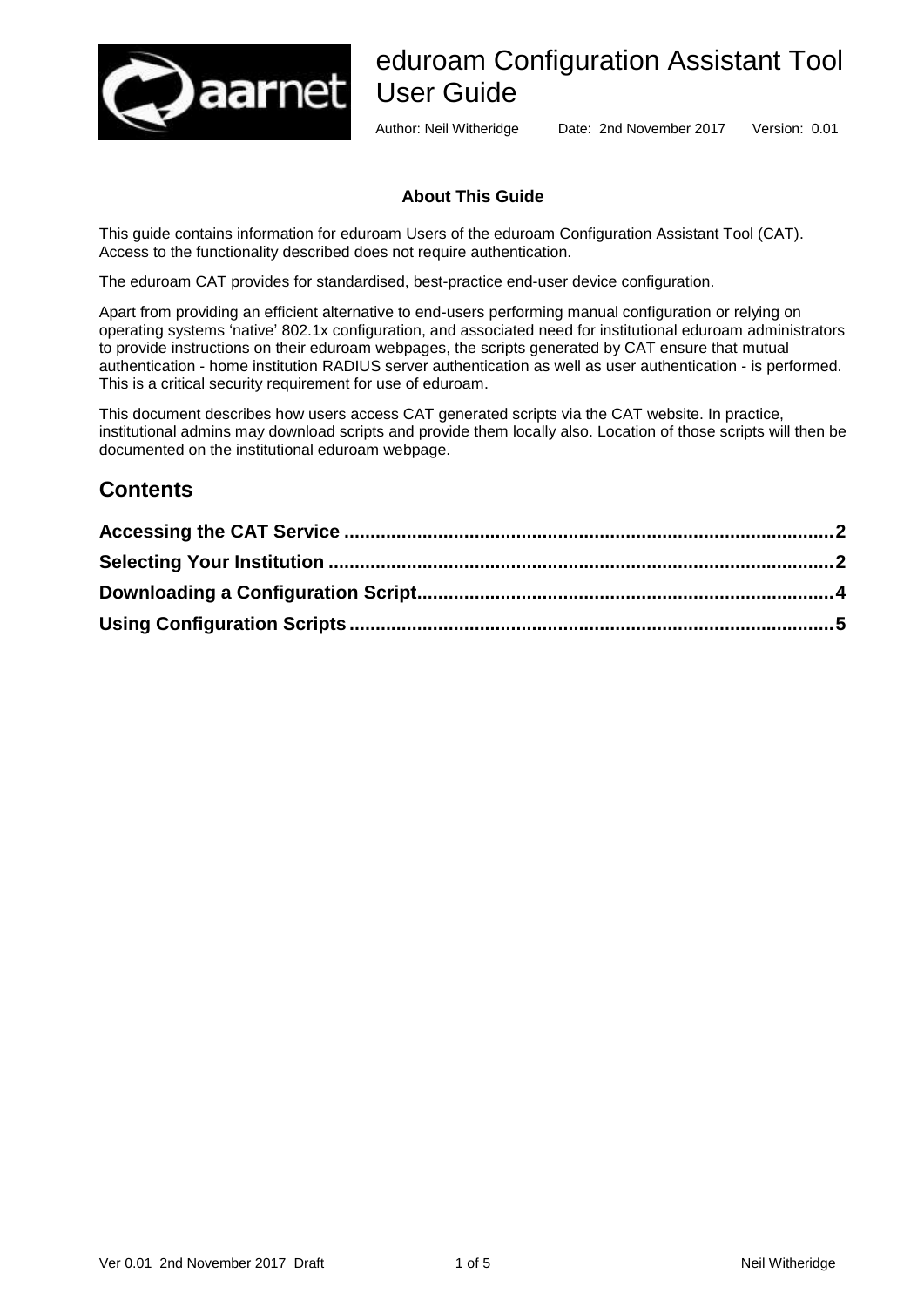

# eduroam Configuration Assistant Tool User Guide

Author: Neil Witheridge Date: 2nd November 2017 Version: 0.01

#### **About This Guide**

This guide contains information for eduroam Users of the eduroam Configuration Assistant Tool (CAT). Access to the functionality described does not require authentication.

The eduroam CAT provides for standardised, best-practice end-user device configuration.

Apart from providing an efficient alternative to end-users performing manual configuration or relying on operating systems 'native' 802.1x configuration, and associated need for institutional eduroam administrators to provide instructions on their eduroam webpages, the scripts generated by CAT ensure that mutual authentication - home institution RADIUS server authentication as well as user authentication - is performed. This is a critical security requirement for use of eduroam.

This document describes how users access CAT generated scripts via the CAT website. In practice, institutional admins may download scripts and provide them locally also. Location of those scripts will then be documented on the institutional eduroam webpage.

#### **Contents**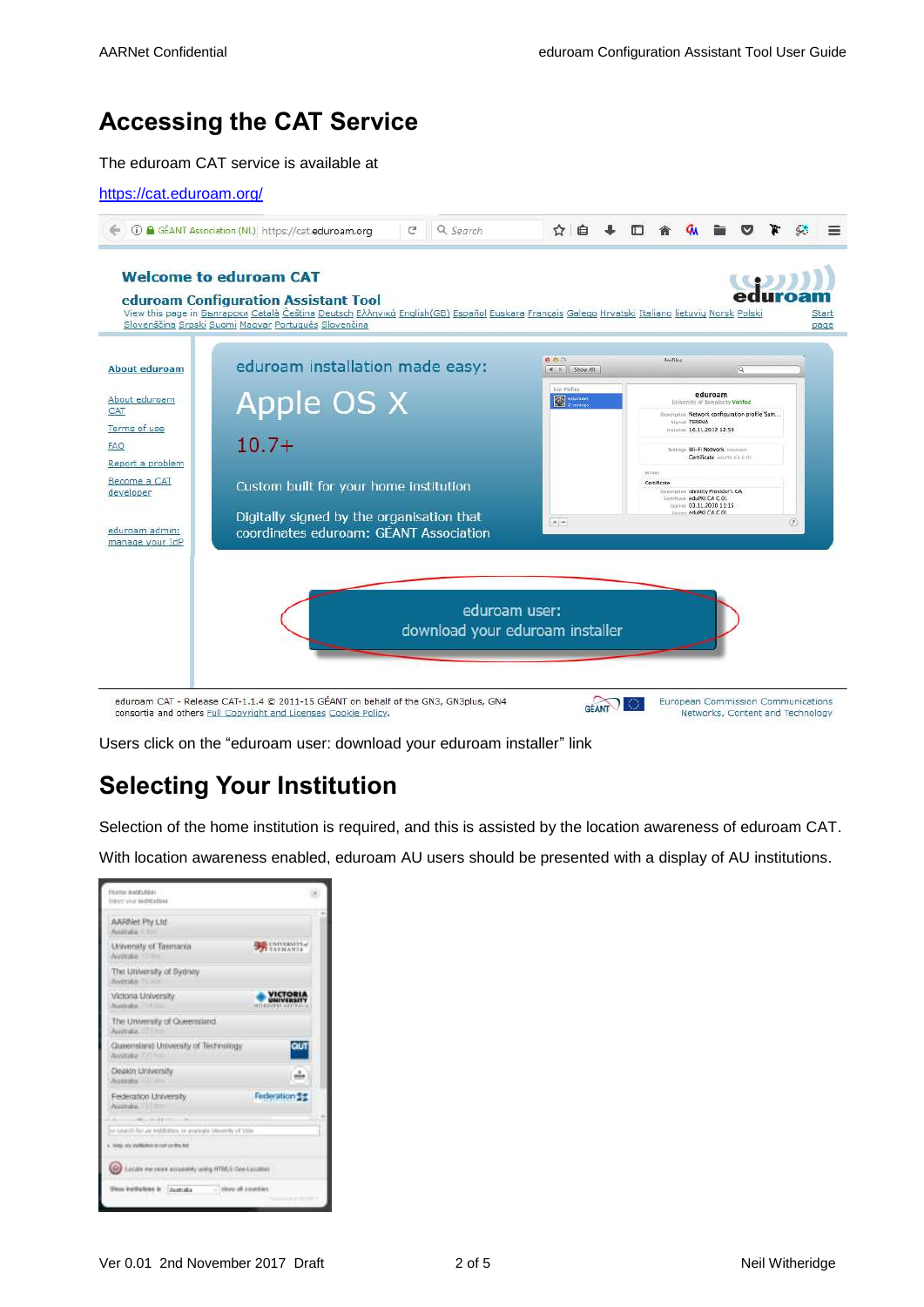## <span id="page-1-0"></span>**Accessing the CAT Service**

The eduroam CAT service is available at



Users click on the "eduroam user: download your eduroam installer" link

#### <span id="page-1-1"></span>**Selecting Your Institution**

Selection of the home institution is required, and this is assisted by the location awareness of eduroam CAT.

With location awareness enabled, eduroam AU users should be presented with a display of AU institutions.

| <b>ATRIVERSITY</b>                                              |
|-----------------------------------------------------------------|
|                                                                 |
| VICTOR<br>MIVERSI<br><b>WELFIELD</b>                            |
|                                                                 |
|                                                                 |
|                                                                 |
| Federation St                                                   |
| in subjects for an installation, in avanging Meworth, of train- |
|                                                                 |
|                                                                 |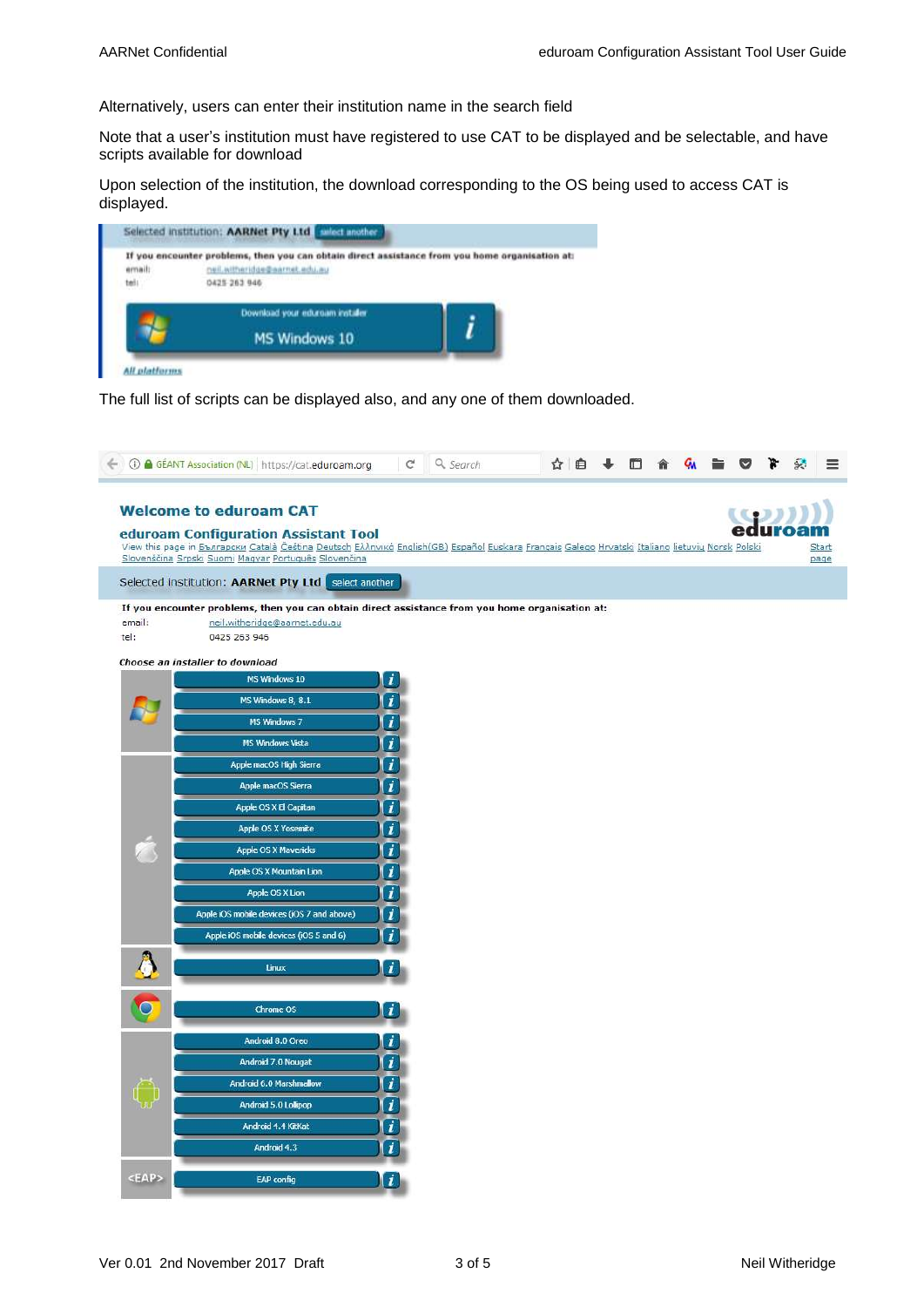Alternatively, users can enter their institution name in the search field

Note that a user's institution must have registered to use CAT to be displayed and be selectable, and have scripts available for download

Upon selection of the institution, the download corresponding to the OS being used to access CAT is displayed.



The full list of scripts can be displayed also, and any one of them downloaded.

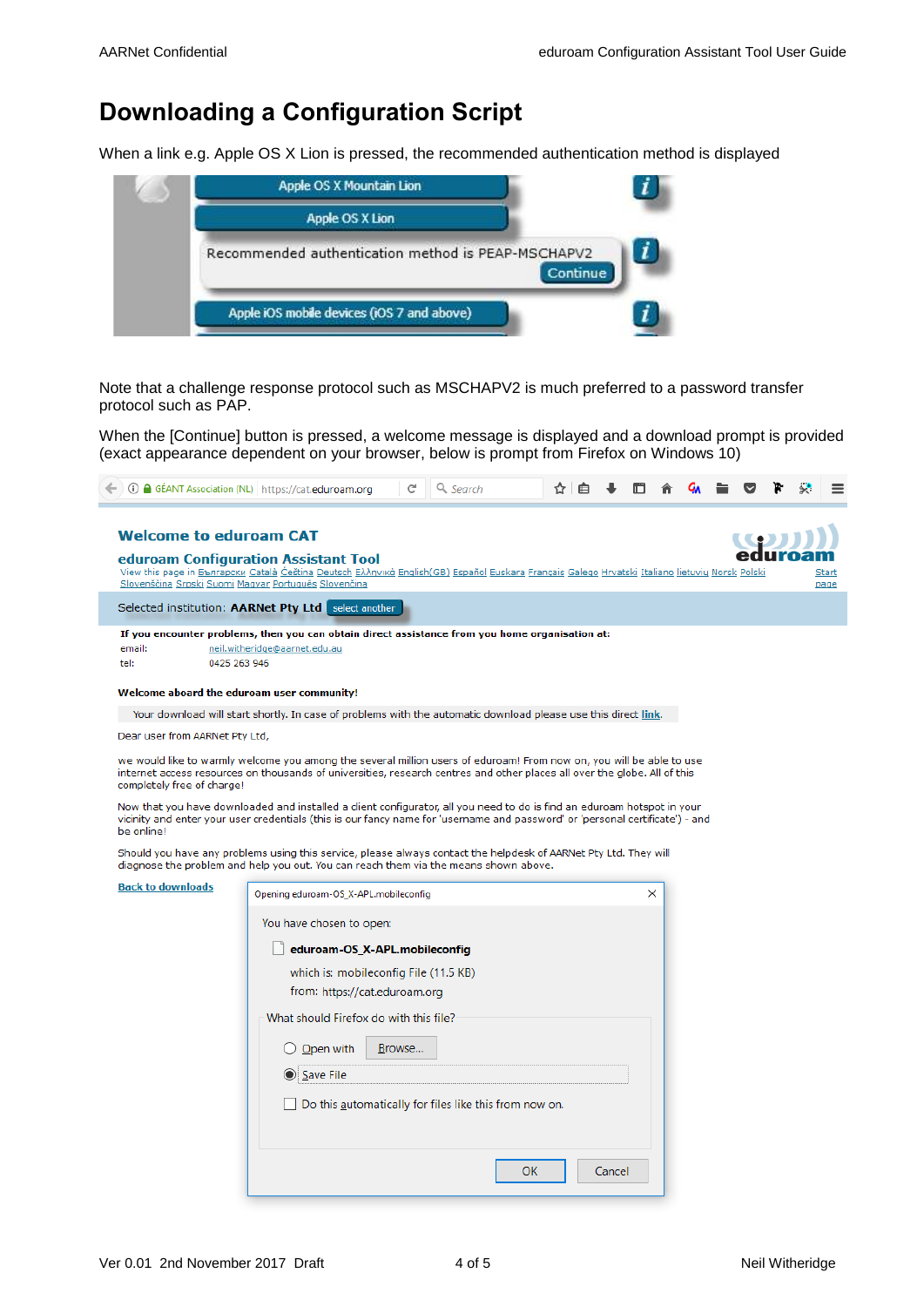### <span id="page-3-0"></span>**Downloading a Configuration Script**

When a link e.g. Apple OS X Lion is pressed, the recommended authentication method is displayed



Note that a challenge response protocol such as MSCHAPV2 is much preferred to a password transfer protocol such as PAP.

When the [Continue] button is pressed, a welcome message is displayed and a download prompt is provided (exact appearance dependent on your browser, below is prompt from Firefox on Windows 10)

| <b>Welcome to eduroam CAT</b>                                        | eduroam Configuration Assistant Tool                                                                                                                                                                                                                     |               |
|----------------------------------------------------------------------|----------------------------------------------------------------------------------------------------------------------------------------------------------------------------------------------------------------------------------------------------------|---------------|
|                                                                      | View this page in Bbnrapcku Català Čeština Deutsch Eλληνικά English (GB) Español Euskara Français Galego Hrvatski Italiano lietuvių Norsk Polski<br>Slovenščina Srpski Suomi Magyar Português Slovenčina                                                 | Start<br>page |
|                                                                      | Selected institution: AARNet Pty Ltd select another                                                                                                                                                                                                      |               |
| email:                                                               | If you encounter problems, then you can obtain direct assistance from you home organisation at:                                                                                                                                                          |               |
| tel:                                                                 | neil.witheridge@aarnet.edu.au<br>0425 263 946                                                                                                                                                                                                            |               |
|                                                                      | Welcome aboard the eduroam user community!                                                                                                                                                                                                               |               |
|                                                                      | Your download will start shortly. In case of problems with the automatic download please use this direct link.                                                                                                                                           |               |
| Dear user from AARNet Pty Ltd,                                       |                                                                                                                                                                                                                                                          |               |
|                                                                      | we would like to warmly welcome you among the several million users of eduroam! From now on, you will be able to use                                                                                                                                     |               |
|                                                                      | internet access resources on thousands of universities, research centres and other places all over the globe. All of this                                                                                                                                |               |
|                                                                      | Now that you have downloaded and installed a client configurator, all you need to do is find an eduroam hotspot in your<br>vicinity and enter your user credentials (this is our fancy name for 'username and password' or 'personal certificate') - and |               |
|                                                                      | Should you have any problems using this service, please always contact the helpdesk of AARNet Pty Ltd. They will<br>diagnose the problem and help you out. You can reach them via the means shown above.                                                 |               |
|                                                                      | X<br>Opening eduroam-OS_X-APL.mobileconfig                                                                                                                                                                                                               |               |
|                                                                      | You have chosen to open:                                                                                                                                                                                                                                 |               |
|                                                                      | eduroam-OS_X-APL.mobileconfig                                                                                                                                                                                                                            |               |
|                                                                      | which is: mobileconfig File (11.5 KB)                                                                                                                                                                                                                    |               |
|                                                                      | from: https://cat.eduroam.org                                                                                                                                                                                                                            |               |
|                                                                      | What should Firefox do with this file?                                                                                                                                                                                                                   |               |
|                                                                      |                                                                                                                                                                                                                                                          |               |
|                                                                      | $\bigcirc$ Open with<br>Browse                                                                                                                                                                                                                           |               |
|                                                                      | Save File                                                                                                                                                                                                                                                |               |
| completely free of charge!<br>be online!<br><b>Back to downloads</b> | Do this automatically for files like this from now on.                                                                                                                                                                                                   |               |